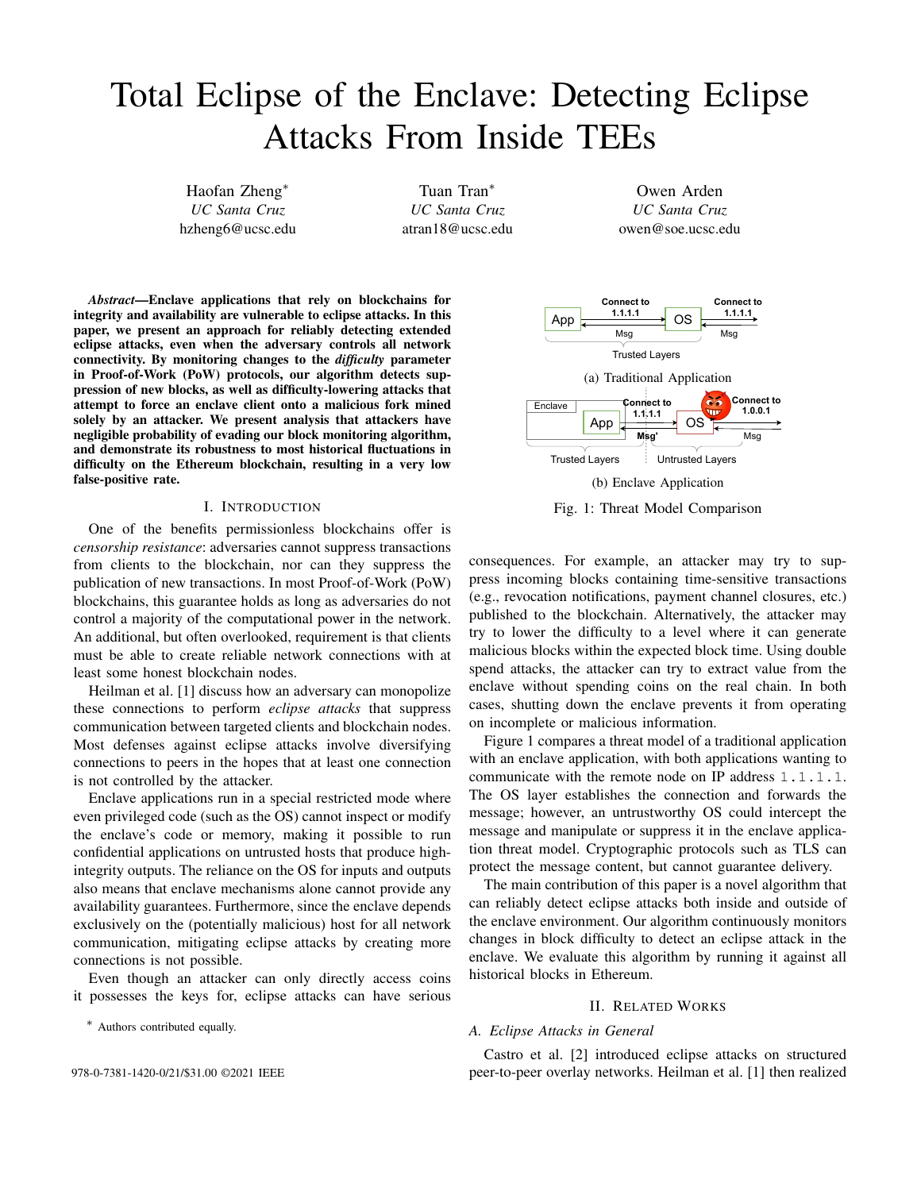# Total Eclipse of the Enclave: Detecting Eclipse Attacks From Inside TEEs

Haofan Zheng<sup>∗</sup> *UC Santa Cruz* hzheng6@ucsc.edu

Tuan Tran<sup>∗</sup> *UC Santa Cruz* atran18@ucsc.edu

Owen Arden *UC Santa Cruz* owen@soe.ucsc.edu

*Abstract*—Enclave applications that rely on blockchains for integrity and availability are vulnerable to eclipse attacks. In this paper, we present an approach for reliably detecting extended eclipse attacks, even when the adversary controls all network connectivity. By monitoring changes to the *difficulty* parameter in Proof-of-Work (PoW) protocols, our algorithm detects suppression of new blocks, as well as difficulty-lowering attacks that attempt to force an enclave client onto a malicious fork mined solely by an attacker. We present analysis that attackers have negligible probability of evading our block monitoring algorithm, and demonstrate its robustness to most historical fluctuations in difficulty on the Ethereum blockchain, resulting in a very low false-positive rate.

#### I. INTRODUCTION

One of the benefits permissionless blockchains offer is *censorship resistance*: adversaries cannot suppress transactions from clients to the blockchain, nor can they suppress the publication of new transactions. In most Proof-of-Work (PoW) blockchains, this guarantee holds as long as adversaries do not control a majority of the computational power in the network. An additional, but often overlooked, requirement is that clients must be able to create reliable network connections with at least some honest blockchain nodes.

Heilman et al. [1] discuss how an adversary can monopolize these connections to perform *eclipse attacks* that suppress communication between targeted clients and blockchain nodes. Most defenses against eclipse attacks involve diversifying connections to peers in the hopes that at least one connection is not controlled by the attacker.

Enclave applications run in a special restricted mode where even privileged code (such as the OS) cannot inspect or modify the enclave's code or memory, making it possible to run confidential applications on untrusted hosts that produce highintegrity outputs. The reliance on the OS for inputs and outputs also means that enclave mechanisms alone cannot provide any availability guarantees. Furthermore, since the enclave depends exclusively on the (potentially malicious) host for all network communication, mitigating eclipse attacks by creating more connections is not possible.

Even though an attacker can only directly access coins it possesses the keys for, eclipse attacks can have serious

∗ Authors contributed equally.



Fig. 1: Threat Model Comparison

consequences. For example, an attacker may try to suppress incoming blocks containing time-sensitive transactions (e.g., revocation notifications, payment channel closures, etc.) published to the blockchain. Alternatively, the attacker may try to lower the difficulty to a level where it can generate malicious blocks within the expected block time. Using double spend attacks, the attacker can try to extract value from the enclave without spending coins on the real chain. In both cases, shutting down the enclave prevents it from operating on incomplete or malicious information.

Figure 1 compares a threat model of a traditional application with an enclave application, with both applications wanting to communicate with the remote node on IP address 1.1.1.1. The OS layer establishes the connection and forwards the message; however, an untrustworthy OS could intercept the message and manipulate or suppress it in the enclave application threat model. Cryptographic protocols such as TLS can protect the message content, but cannot guarantee delivery.

The main contribution of this paper is a novel algorithm that can reliably detect eclipse attacks both inside and outside of the enclave environment. Our algorithm continuously monitors changes in block difficulty to detect an eclipse attack in the enclave. We evaluate this algorithm by running it against all historical blocks in Ethereum.

## II. RELATED WORKS

#### *A. Eclipse Attacks in General*

Castro et al. [2] introduced eclipse attacks on structured 978-0-7381-1420-0/21/\$31.00 ©2021 IEEE peer-to-peer overlay networks. Heilman et al. [1] then realized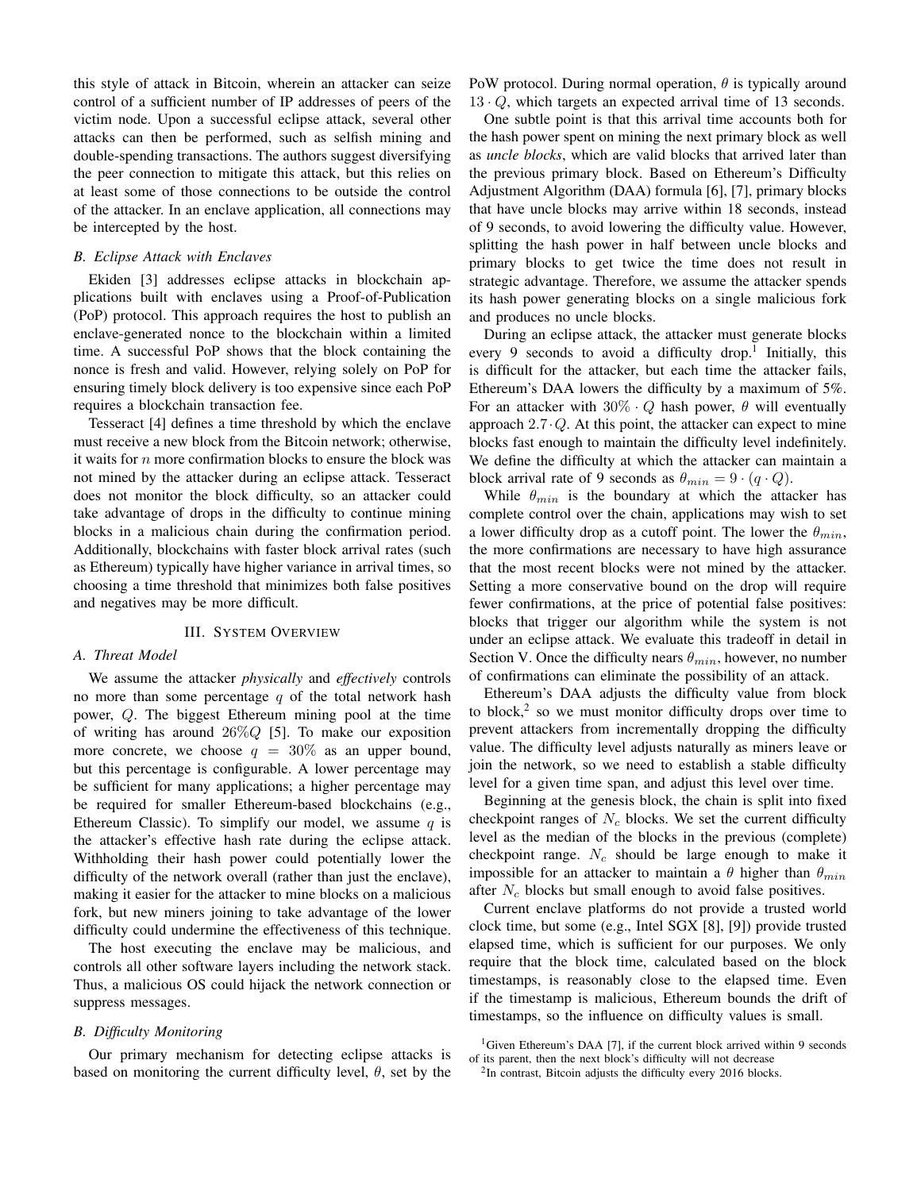this style of attack in Bitcoin, wherein an attacker can seize control of a sufficient number of IP addresses of peers of the victim node. Upon a successful eclipse attack, several other attacks can then be performed, such as selfish mining and double-spending transactions. The authors suggest diversifying the peer connection to mitigate this attack, but this relies on at least some of those connections to be outside the control of the attacker. In an enclave application, all connections may be intercepted by the host.

#### *B. Eclipse Attack with Enclaves*

Ekiden [3] addresses eclipse attacks in blockchain applications built with enclaves using a Proof-of-Publication (PoP) protocol. This approach requires the host to publish an enclave-generated nonce to the blockchain within a limited time. A successful PoP shows that the block containing the nonce is fresh and valid. However, relying solely on PoP for ensuring timely block delivery is too expensive since each PoP requires a blockchain transaction fee.

Tesseract [4] defines a time threshold by which the enclave must receive a new block from the Bitcoin network; otherwise, it waits for  $n$  more confirmation blocks to ensure the block was not mined by the attacker during an eclipse attack. Tesseract does not monitor the block difficulty, so an attacker could take advantage of drops in the difficulty to continue mining blocks in a malicious chain during the confirmation period. Additionally, blockchains with faster block arrival rates (such as Ethereum) typically have higher variance in arrival times, so choosing a time threshold that minimizes both false positives and negatives may be more difficult.

## III. SYSTEM OVERVIEW

## *A. Threat Model*

We assume the attacker *physically* and *effectively* controls no more than some percentage  $q$  of the total network hash power, Q. The biggest Ethereum mining pool at the time of writing has around  $26\%Q$  [5]. To make our exposition more concrete, we choose  $q = 30\%$  as an upper bound, but this percentage is configurable. A lower percentage may be sufficient for many applications; a higher percentage may be required for smaller Ethereum-based blockchains (e.g., Ethereum Classic). To simplify our model, we assume  $q$  is the attacker's effective hash rate during the eclipse attack. Withholding their hash power could potentially lower the difficulty of the network overall (rather than just the enclave), making it easier for the attacker to mine blocks on a malicious fork, but new miners joining to take advantage of the lower difficulty could undermine the effectiveness of this technique.

The host executing the enclave may be malicious, and controls all other software layers including the network stack. Thus, a malicious OS could hijack the network connection or suppress messages.

## *B. Difficulty Monitoring*

Our primary mechanism for detecting eclipse attacks is based on monitoring the current difficulty level,  $\theta$ , set by the PoW protocol. During normal operation,  $\theta$  is typically around  $13 \cdot Q$ , which targets an expected arrival time of 13 seconds.

One subtle point is that this arrival time accounts both for the hash power spent on mining the next primary block as well as *uncle blocks*, which are valid blocks that arrived later than the previous primary block. Based on Ethereum's Difficulty Adjustment Algorithm (DAA) formula [6], [7], primary blocks that have uncle blocks may arrive within 18 seconds, instead of 9 seconds, to avoid lowering the difficulty value. However, splitting the hash power in half between uncle blocks and primary blocks to get twice the time does not result in strategic advantage. Therefore, we assume the attacker spends its hash power generating blocks on a single malicious fork and produces no uncle blocks.

During an eclipse attack, the attacker must generate blocks every 9 seconds to avoid a difficulty drop.<sup>1</sup> Initially, this is difficult for the attacker, but each time the attacker fails, Ethereum's DAA lowers the difficulty by a maximum of 5%. For an attacker with  $30\% \cdot Q$  hash power,  $\theta$  will eventually approach  $2.7 \cdot Q$ . At this point, the attacker can expect to mine blocks fast enough to maintain the difficulty level indefinitely. We define the difficulty at which the attacker can maintain a block arrival rate of 9 seconds as  $\theta_{min} = 9 \cdot (q \cdot Q)$ .

While  $\theta_{min}$  is the boundary at which the attacker has complete control over the chain, applications may wish to set a lower difficulty drop as a cutoff point. The lower the  $\theta_{min}$ , the more confirmations are necessary to have high assurance that the most recent blocks were not mined by the attacker. Setting a more conservative bound on the drop will require fewer confirmations, at the price of potential false positives: blocks that trigger our algorithm while the system is not under an eclipse attack. We evaluate this tradeoff in detail in Section V. Once the difficulty nears  $\theta_{min}$ , however, no number of confirmations can eliminate the possibility of an attack.

Ethereum's DAA adjusts the difficulty value from block to block,<sup>2</sup> so we must monitor difficulty drops over time to prevent attackers from incrementally dropping the difficulty value. The difficulty level adjusts naturally as miners leave or join the network, so we need to establish a stable difficulty level for a given time span, and adjust this level over time.

Beginning at the genesis block, the chain is split into fixed checkpoint ranges of  $N_c$  blocks. We set the current difficulty level as the median of the blocks in the previous (complete) checkpoint range.  $N_c$  should be large enough to make it impossible for an attacker to maintain a  $\theta$  higher than  $\theta_{min}$ after  $N_c$  blocks but small enough to avoid false positives.

Current enclave platforms do not provide a trusted world clock time, but some (e.g., Intel SGX [8], [9]) provide trusted elapsed time, which is sufficient for our purposes. We only require that the block time, calculated based on the block timestamps, is reasonably close to the elapsed time. Even if the timestamp is malicious, Ethereum bounds the drift of timestamps, so the influence on difficulty values is small.

<sup>&</sup>lt;sup>1</sup>Given Ethereum's DAA [7], if the current block arrived within 9 seconds of its parent, then the next block's difficulty will not decrease

 $2$ In contrast, Bitcoin adjusts the difficulty every 2016 blocks.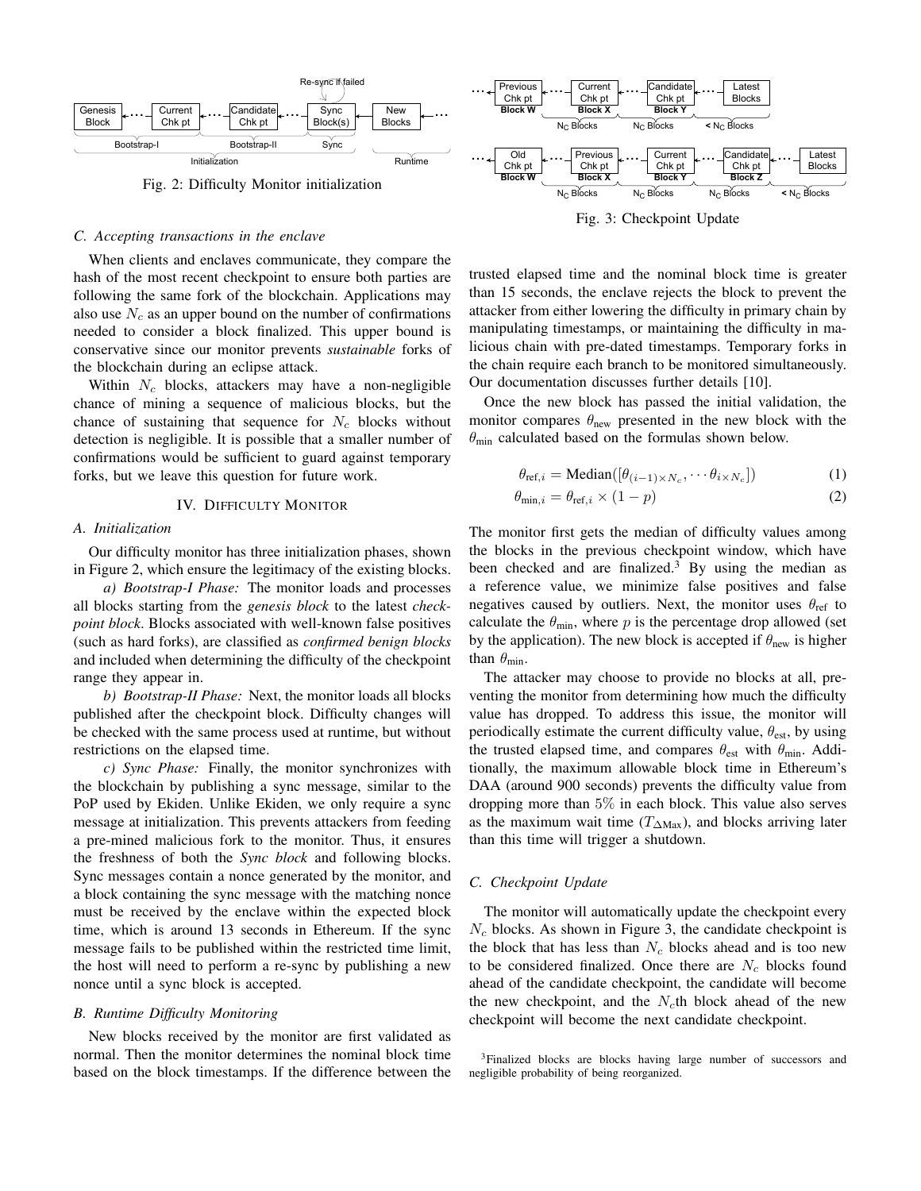

Fig. 3: Checkpoint Update

trusted elapsed time and the nominal block time is greater than 15 seconds, the enclave rejects the block to prevent the attacker from either lowering the difficulty in primary chain by manipulating timestamps, or maintaining the difficulty in malicious chain with pre-dated timestamps. Temporary forks in the chain require each branch to be monitored simultaneously. Our documentation discusses further details [10].

Once the new block has passed the initial validation, the monitor compares  $\theta_{\text{new}}$  presented in the new block with the  $\theta_{\text{min}}$  calculated based on the formulas shown below.

$$
\theta_{\text{ref},i} = \text{Median}([\theta_{(i-1)\times N_c}, \cdots \theta_{i\times N_c}])
$$
(1)

$$
\theta_{\min,i} = \theta_{\text{ref},i} \times (1 - p) \tag{2}
$$

The monitor first gets the median of difficulty values among the blocks in the previous checkpoint window, which have been checked and are finalized.<sup>3</sup> By using the median as a reference value, we minimize false positives and false negatives caused by outliers. Next, the monitor uses  $\theta_{\text{ref}}$  to calculate the  $\theta_{\min}$ , where p is the percentage drop allowed (set by the application). The new block is accepted if  $\theta_{\text{new}}$  is higher than  $\theta_{\min}$ .

The attacker may choose to provide no blocks at all, preventing the monitor from determining how much the difficulty value has dropped. To address this issue, the monitor will periodically estimate the current difficulty value,  $\theta_{est}$ , by using the trusted elapsed time, and compares  $\theta_{est}$  with  $\theta_{min}$ . Additionally, the maximum allowable block time in Ethereum's DAA (around 900 seconds) prevents the difficulty value from dropping more than 5% in each block. This value also serves as the maximum wait time ( $T_{\Delta \text{Max}}$ ), and blocks arriving later than this time will trigger a shutdown.

## *C. Checkpoint Update*

The monitor will automatically update the checkpoint every  $N_c$  blocks. As shown in Figure 3, the candidate checkpoint is the block that has less than  $N_c$  blocks ahead and is too new to be considered finalized. Once there are  $N_c$  blocks found ahead of the candidate checkpoint, the candidate will become the new checkpoint, and the  $N_c$ th block ahead of the new checkpoint will become the next candidate checkpoint.



#### *C. Accepting transactions in the enclave*

When clients and enclaves communicate, they compare the hash of the most recent checkpoint to ensure both parties are following the same fork of the blockchain. Applications may also use  $N_c$  as an upper bound on the number of confirmations needed to consider a block finalized. This upper bound is conservative since our monitor prevents *sustainable* forks of the blockchain during an eclipse attack.

Within  $N_c$  blocks, attackers may have a non-negligible chance of mining a sequence of malicious blocks, but the chance of sustaining that sequence for  $N_c$  blocks without detection is negligible. It is possible that a smaller number of confirmations would be sufficient to guard against temporary forks, but we leave this question for future work.

## IV. DIFFICULTY MONITOR

## *A. Initialization*

Our difficulty monitor has three initialization phases, shown in Figure 2, which ensure the legitimacy of the existing blocks.

*a) Bootstrap-I Phase:* The monitor loads and processes all blocks starting from the *genesis block* to the latest *checkpoint block*. Blocks associated with well-known false positives (such as hard forks), are classified as *confirmed benign blocks* and included when determining the difficulty of the checkpoint range they appear in.

*b) Bootstrap-II Phase:* Next, the monitor loads all blocks published after the checkpoint block. Difficulty changes will be checked with the same process used at runtime, but without restrictions on the elapsed time.

*c) Sync Phase:* Finally, the monitor synchronizes with the blockchain by publishing a sync message, similar to the PoP used by Ekiden. Unlike Ekiden, we only require a sync message at initialization. This prevents attackers from feeding a pre-mined malicious fork to the monitor. Thus, it ensures the freshness of both the *Sync block* and following blocks. Sync messages contain a nonce generated by the monitor, and a block containing the sync message with the matching nonce must be received by the enclave within the expected block time, which is around 13 seconds in Ethereum. If the sync message fails to be published within the restricted time limit, the host will need to perform a re-sync by publishing a new nonce until a sync block is accepted.

#### *B. Runtime Difficulty Monitoring*

New blocks received by the monitor are first validated as normal. Then the monitor determines the nominal block time based on the block timestamps. If the difference between the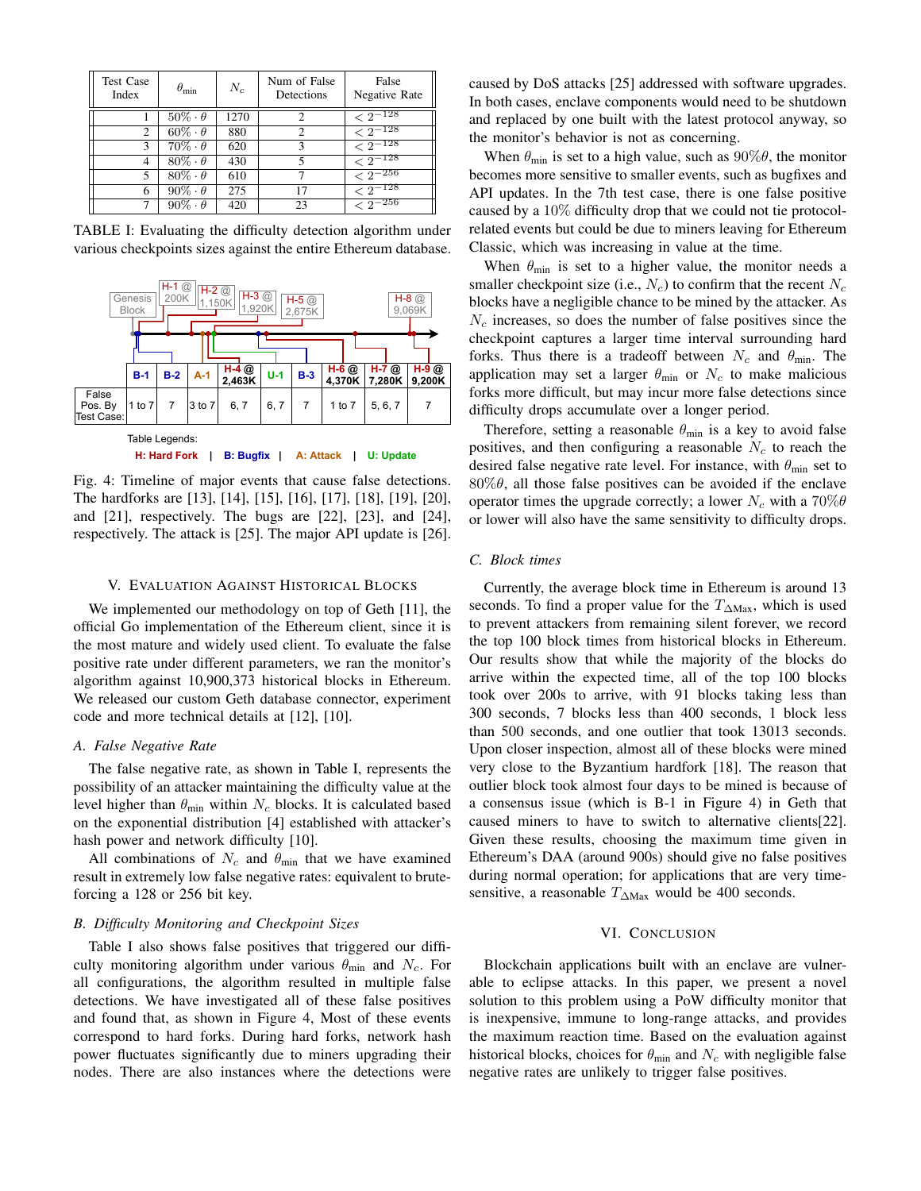| <b>Test Case</b><br>Index | $\theta_{\rm min}$  | $N_c$ | Num of False<br>Detections | False<br>Negative Rate |
|---------------------------|---------------------|-------|----------------------------|------------------------|
|                           | $50\% \cdot \theta$ | 1270  | っ                          | $< 2^{-128}$           |
| 2                         | $60\% \cdot \theta$ | 880   | 2                          | $\sqrt{2^{-128}}$      |
| 3                         | $70\% \cdot \theta$ | 620   | 3                          | $\sqrt{2^{-128}}$      |
| 4                         | $80\% \cdot \theta$ | 430   | 5                          | $\sqrt{2^{-128}}$      |
| 5                         | $80\% \cdot \theta$ | 610   |                            | $\sqrt{2^{-256}}$      |
| 6                         | $90\% \cdot \theta$ | 275   | 17                         | $\sqrt{2^{-128}}$      |
|                           | $90\% \cdot \theta$ | 420   | 23                         | $\sqrt{2^{-256}}$      |

TABLE I: Evaluating the difficulty detection algorithm under various checkpoints sizes against the entire Ethereum database.



Fig. 4: Timeline of major events that cause false detections. The hardforks are [13], [14], [15], [16], [17], [18], [19], [20], and [21], respectively. The bugs are [22], [23], and [24], respectively. The attack is [25]. The major API update is [26].

## V. EVALUATION AGAINST HISTORICAL BLOCKS

We implemented our methodology on top of Geth [11], the official Go implementation of the Ethereum client, since it is the most mature and widely used client. To evaluate the false positive rate under different parameters, we ran the monitor's algorithm against 10,900,373 historical blocks in Ethereum. We released our custom Geth database connector, experiment code and more technical details at [12], [10].

#### *A. False Negative Rate*

The false negative rate, as shown in Table I, represents the possibility of an attacker maintaining the difficulty value at the level higher than  $\theta_{\min}$  within  $N_c$  blocks. It is calculated based on the exponential distribution [4] established with attacker's hash power and network difficulty [10].

All combinations of  $N_c$  and  $\theta_{\text{min}}$  that we have examined result in extremely low false negative rates: equivalent to bruteforcing a 128 or 256 bit key.

## *B. Difficulty Monitoring and Checkpoint Sizes*

Table I also shows false positives that triggered our difficulty monitoring algorithm under various  $\theta_{\min}$  and  $N_c$ . For all configurations, the algorithm resulted in multiple false detections. We have investigated all of these false positives and found that, as shown in Figure 4, Most of these events correspond to hard forks. During hard forks, network hash power fluctuates significantly due to miners upgrading their nodes. There are also instances where the detections were caused by DoS attacks [25] addressed with software upgrades. In both cases, enclave components would need to be shutdown and replaced by one built with the latest protocol anyway, so the monitor's behavior is not as concerning.

When  $\theta_{\min}$  is set to a high value, such as  $90\% \theta$ , the monitor becomes more sensitive to smaller events, such as bugfixes and API updates. In the 7th test case, there is one false positive caused by a 10% difficulty drop that we could not tie protocolrelated events but could be due to miners leaving for Ethereum Classic, which was increasing in value at the time.

When  $\theta_{\min}$  is set to a higher value, the monitor needs a smaller checkpoint size (i.e.,  $N_c$ ) to confirm that the recent  $N_c$ blocks have a negligible chance to be mined by the attacker. As  $N_c$  increases, so does the number of false positives since the checkpoint captures a larger time interval surrounding hard forks. Thus there is a tradeoff between  $N_c$  and  $\theta_{\min}$ . The application may set a larger  $\theta_{\min}$  or  $N_c$  to make malicious forks more difficult, but may incur more false detections since difficulty drops accumulate over a longer period.

Therefore, setting a reasonable  $\theta_{\min}$  is a key to avoid false positives, and then configuring a reasonable  $N_c$  to reach the desired false negative rate level. For instance, with  $\theta_{\min}$  set to  $80\%$  $\theta$ , all those false positives can be avoided if the enclave operator times the upgrade correctly; a lower  $N_c$  with a 70% $\theta$ or lower will also have the same sensitivity to difficulty drops.

#### *C. Block times*

Currently, the average block time in Ethereum is around 13 seconds. To find a proper value for the  $T_{\Delta Max}$ , which is used to prevent attackers from remaining silent forever, we record the top 100 block times from historical blocks in Ethereum. Our results show that while the majority of the blocks do arrive within the expected time, all of the top 100 blocks took over 200s to arrive, with 91 blocks taking less than 300 seconds, 7 blocks less than 400 seconds, 1 block less than 500 seconds, and one outlier that took 13013 seconds. Upon closer inspection, almost all of these blocks were mined very close to the Byzantium hardfork [18]. The reason that outlier block took almost four days to be mined is because of a consensus issue (which is B-1 in Figure 4) in Geth that caused miners to have to switch to alternative clients[22]. Given these results, choosing the maximum time given in Ethereum's DAA (around 900s) should give no false positives during normal operation; for applications that are very timesensitive, a reasonable  $T_{\Delta \text{Max}}$  would be 400 seconds.

# VI. CONCLUSION

Blockchain applications built with an enclave are vulnerable to eclipse attacks. In this paper, we present a novel solution to this problem using a PoW difficulty monitor that is inexpensive, immune to long-range attacks, and provides the maximum reaction time. Based on the evaluation against historical blocks, choices for  $\theta_{\text{min}}$  and  $N_c$  with negligible false negative rates are unlikely to trigger false positives.